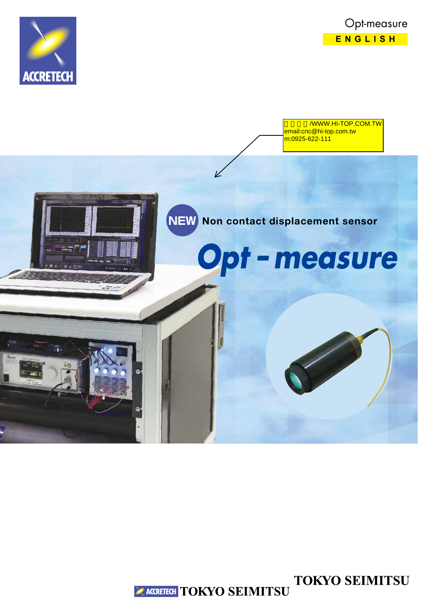



/WWW.HI-TOP.COM.TW email:cnc@hi-top.com.tw m:0925-622-111



**TOKYO SEIMITSU EXACCRETECH TOKYO SEIMITSU**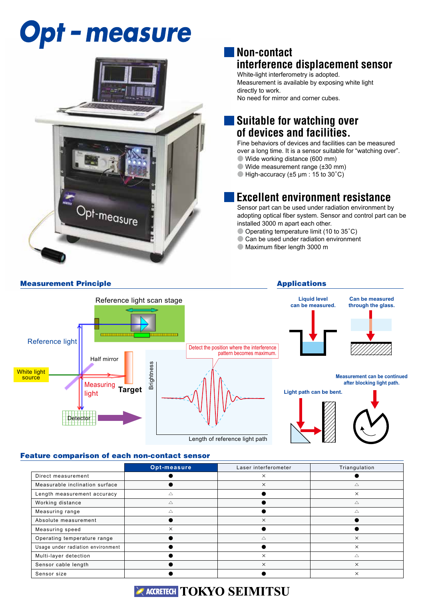## **Opt - measure**



### **Non-contact interference displacement sensor**

White-light interferometry is adopted. Measurement is available by exposing white light directly to work. No need for mirror and corner cubes.

## **Suitable for watching over of devices and facilities.**

Fine behaviors of devices and facilities can be measured over a long time. It is a sensor suitable for "watching over". ● Wide working distance (600 mm)

- $\bullet$  Wide measurement range ( $\pm 30$  mm)
- $\bullet$  High-accuracy ( $\pm 5$  µm : 15 to 30°C)

## **Excellent environment resistance**

Sensor part can be used under radiation environment by adopting optical fiber system. Sensor and control part can be installed 3000 m apart each other.

- Operating temperature limit (10 to 35°C)
- Can be used under radiation environment
- Maximum fiber length 3000 m



#### Feature comparison of each non-contact sensor

|                                   | Opt-measure | Laser interferometer | Triangulation |
|-----------------------------------|-------------|----------------------|---------------|
| Direct measurement                |             | $\times$             |               |
| Measurable inclination surface    |             | $\times$             | $\triangle$   |
| Length measurement accuracy       |             |                      | $\times$      |
| Working distance                  | Δ           |                      | $\triangle$   |
| Measuring range                   | Δ           |                      | Δ             |
| Absolute measurement              |             | $\times$             |               |
| Measuring speed                   | $\times$    |                      |               |
| Operating temperature range       |             | Δ                    | $\times$      |
| Usage under radiation environment |             |                      | $\times$      |
| Multi-layer detection             |             | $\times$             | Δ             |
| Sensor cable length               |             | $\times$             | $\times$      |
| Sensor size                       |             |                      | $\times$      |

## **EXACCRETECH TOKYO SEIMITSU**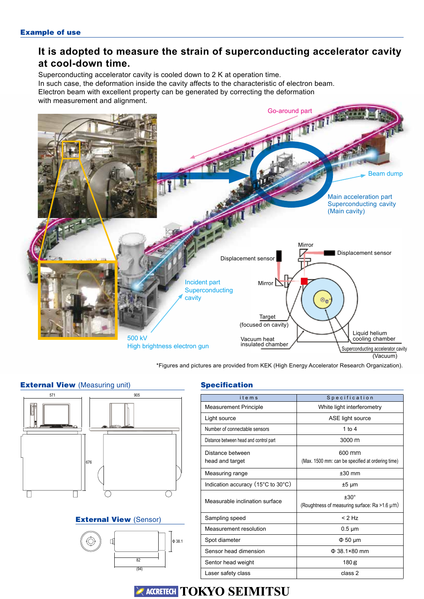## **It is adopted to measure the strain of superconducting accelerator cavity at cool-down time.**

Superconducting accelerator cavity is cooled down to 2 K at operation time. In such case, the deformation inside the cavity affects to the characteristic of electron beam. Electron beam with excellent property can be generated by correcting the deformation with measurement and alignment.



\*Figures and pictures are provided from KEK (High Energy Accelerator Research Organization).

# 571 676 905

#### External View (Sensor)



#### **External View (Measuring unit) Specification**

| items                                                       | Specification                                                   |  |
|-------------------------------------------------------------|-----------------------------------------------------------------|--|
| <b>Measurement Principle</b>                                | White light interferometry                                      |  |
| Light source                                                | ASE light source                                                |  |
| Number of connectable sensors                               | 1 to $4$                                                        |  |
| Distance between head and control part                      | 3000 m                                                          |  |
| Distance between<br>head and target                         | 600 mm<br>(Max. 1500 mm: can be specified at ordering time)     |  |
| Measuring range                                             | $±30$ mm                                                        |  |
| Indication accuracy $(15^{\circ}C \text{ to } 30^{\circ}C)$ | ±5 µm                                                           |  |
| Measurable inclination surface                              | $±30^{\circ}$<br>(Roughtness of measuring surface: Ra > 1.6 µm) |  |
| Sampling speed                                              | $< 2$ Hz                                                        |  |
| Measurement resolution                                      | $0.5 \mu m$                                                     |  |
| Spot diameter                                               | $\Phi$ 50 µm                                                    |  |
| Sensor head dimension                                       | $\Phi$ 38.1×80 mm                                               |  |
| Sentor head weight                                          | 180 <sub>g</sub>                                                |  |
| Laser safety class                                          | class 2                                                         |  |

## ACCRETECH **TOKYO SEIMITSU**